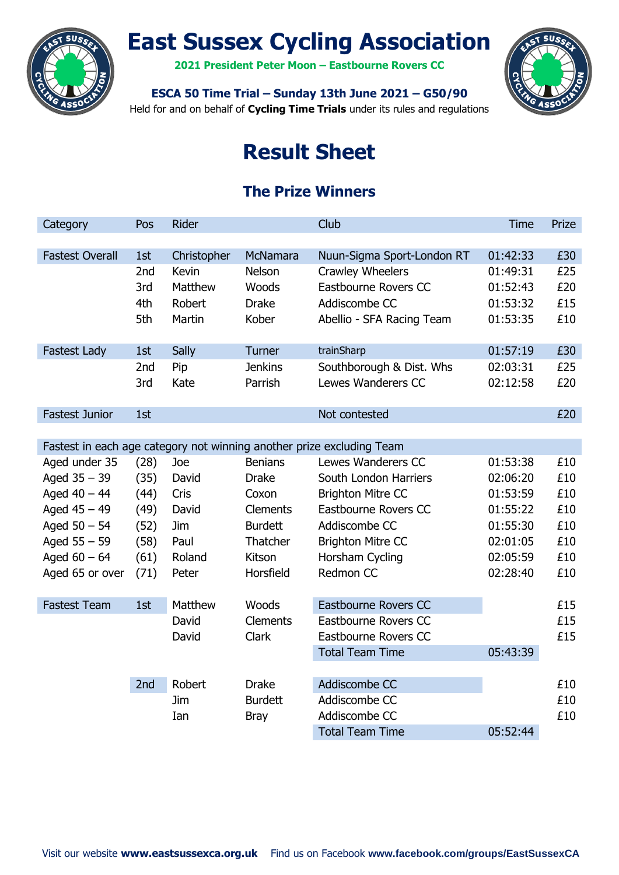

# **East Sussex Cycling Association**

**2021 President Peter Moon – Eastbourne Rovers CC**



**ESCA 50 Time Trial – Sunday 13th June 2021 – G50/90**

Held for and on behalf of **Cycling Time Trials** under its rules and regulations

## **Result Sheet**

## **The Prize Winners**

| Category               | Pos             | <b>Rider</b> |                 | Club                                                                  | <b>Time</b> | Prize |
|------------------------|-----------------|--------------|-----------------|-----------------------------------------------------------------------|-------------|-------|
|                        |                 |              |                 |                                                                       |             |       |
| <b>Fastest Overall</b> | 1st             | Christopher  | McNamara        | Nuun-Sigma Sport-London RT                                            | 01:42:33    | £30   |
|                        | 2nd             | <b>Kevin</b> | <b>Nelson</b>   | Crawley Wheelers                                                      | 01:49:31    | £25   |
|                        | 3rd             | Matthew      | Woods           | Eastbourne Rovers CC                                                  | 01:52:43    | £20   |
|                        | 4th             | Robert       | <b>Drake</b>    | Addiscombe CC                                                         | 01:53:32    | £15   |
|                        | 5th             | Martin       | Kober           | Abellio - SFA Racing Team                                             | 01:53:35    | £10   |
|                        |                 |              |                 |                                                                       |             |       |
| <b>Fastest Lady</b>    | 1st             | Sally        | Turner          | trainSharp                                                            | 01:57:19    | £30   |
|                        | 2 <sub>nd</sub> | Pip          | <b>Jenkins</b>  | Southborough & Dist. Whs                                              | 02:03:31    | £25   |
|                        | 3rd             | Kate         | Parrish         | Lewes Wanderers CC                                                    | 02:12:58    | £20   |
|                        |                 |              |                 |                                                                       |             |       |
| <b>Fastest Junior</b>  | 1st             |              |                 | Not contested                                                         |             | £20   |
|                        |                 |              |                 |                                                                       |             |       |
|                        |                 |              |                 | Fastest in each age category not winning another prize excluding Team |             |       |
| Aged under 35          | (28)            | Joe          | <b>Benians</b>  | Lewes Wanderers CC                                                    | 01:53:38    | £10   |
| Aged $35 - 39$         | (35)            | David        | <b>Drake</b>    | South London Harriers                                                 | 02:06:20    | £10   |
| Aged $40 - 44$         | (44)            | Cris         | Coxon           | <b>Brighton Mitre CC</b>                                              | 01:53:59    | £10   |
| Aged $45 - 49$         | (49)            | David        | <b>Clements</b> | <b>Eastbourne Rovers CC</b>                                           | 01:55:22    | £10   |
| Aged $50 - 54$         | (52)            | Jim          | <b>Burdett</b>  | Addiscombe CC                                                         | 01:55:30    | £10   |
| Aged $55 - 59$         | (58)            | Paul         | Thatcher        | <b>Brighton Mitre CC</b>                                              | 02:01:05    | £10   |
| Aged $60 - 64$         | (61)            | Roland       | Kitson          | Horsham Cycling                                                       | 02:05:59    | £10   |
| Aged 65 or over        | (71)            | Peter        | Horsfield       | Redmon CC                                                             | 02:28:40    | £10   |
|                        |                 |              |                 |                                                                       |             |       |
| <b>Fastest Team</b>    | 1st             | Matthew      | Woods           | Eastbourne Rovers CC                                                  |             | £15   |
|                        |                 | David        | <b>Clements</b> | Eastbourne Rovers CC                                                  |             | £15   |
|                        |                 | David        | <b>Clark</b>    | Eastbourne Rovers CC                                                  |             | £15   |
|                        |                 |              |                 | <b>Total Team Time</b>                                                | 05:43:39    |       |
|                        | 2nd             | Robert       | <b>Drake</b>    | Addiscombe CC                                                         |             | £10   |
|                        |                 | Jim          | <b>Burdett</b>  | Addiscombe CC                                                         |             | £10   |
|                        |                 | Ian          | <b>Bray</b>     | Addiscombe CC                                                         |             | £10   |
|                        |                 |              |                 | <b>Total Team Time</b>                                                | 05:52:44    |       |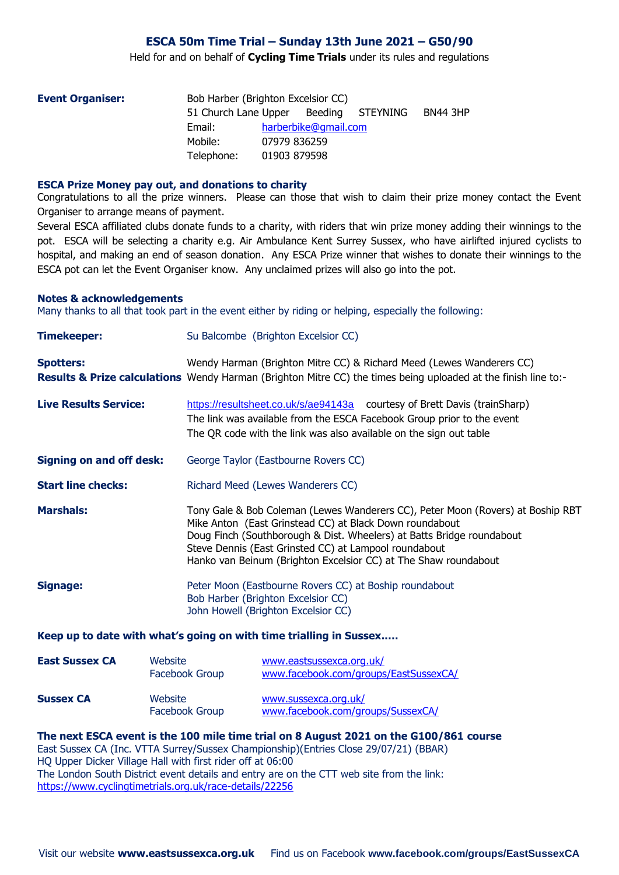#### **ESCA 50m Time Trial – Sunday 13th June 2021 – G50/90**

Held for and on behalf of **Cycling Time Trials** under its rules and regulations

| <b>Event Organiser:</b> | Bob Harber (Brighton Excelsior CC)    |              |                      |  |                 |  |  |
|-------------------------|---------------------------------------|--------------|----------------------|--|-----------------|--|--|
|                         | 51 Church Lane Upper Beeding STEYNING |              |                      |  | <b>BN44 3HP</b> |  |  |
|                         | Email:                                |              | harberbike@gmail.com |  |                 |  |  |
|                         | Mobile:                               | 07979 836259 |                      |  |                 |  |  |
|                         | Telephone:                            | 01903 879598 |                      |  |                 |  |  |

#### **ESCA Prize Money pay out, and donations to charity**

Congratulations to all the prize winners. Please can those that wish to claim their prize money contact the Event Organiser to arrange means of payment.

Several ESCA affiliated clubs donate funds to a charity, with riders that win prize money adding their winnings to the pot. ESCA will be selecting a charity e.g. Air Ambulance Kent Surrey Sussex, who have airlifted injured cyclists to hospital, and making an end of season donation. Any ESCA Prize winner that wishes to donate their winnings to the ESCA pot can let the Event Organiser know. Any unclaimed prizes will also go into the pot.

#### **Notes & acknowledgements**

Many thanks to all that took part in the event either by riding or helping, especially the following:

| <b>Timekeeper:</b>              | Su Balcombe (Brighton Excelsior CC)                                                                                                                                                                                                                                                                                                             |  |  |  |  |  |
|---------------------------------|-------------------------------------------------------------------------------------------------------------------------------------------------------------------------------------------------------------------------------------------------------------------------------------------------------------------------------------------------|--|--|--|--|--|
| <b>Spotters:</b>                | Wendy Harman (Brighton Mitre CC) & Richard Meed (Lewes Wanderers CC)<br>Results & Prize calculations Wendy Harman (Brighton Mitre CC) the times being uploaded at the finish line to:-                                                                                                                                                          |  |  |  |  |  |
| <b>Live Results Service:</b>    | https://resultsheet.co.uk/s/ae94143a courtesy of Brett Davis (trainSharp)<br>The link was available from the ESCA Facebook Group prior to the event<br>The QR code with the link was also available on the sign out table                                                                                                                       |  |  |  |  |  |
| <b>Signing on and off desk:</b> | George Taylor (Eastbourne Rovers CC)                                                                                                                                                                                                                                                                                                            |  |  |  |  |  |
| <b>Start line checks:</b>       | Richard Meed (Lewes Wanderers CC)                                                                                                                                                                                                                                                                                                               |  |  |  |  |  |
| <b>Marshals:</b>                | Tony Gale & Bob Coleman (Lewes Wanderers CC), Peter Moon (Rovers) at Boship RBT<br>Mike Anton (East Grinstead CC) at Black Down roundabout<br>Doug Finch (Southborough & Dist. Wheelers) at Batts Bridge roundabout<br>Steve Dennis (East Grinsted CC) at Lampool roundabout<br>Hanko van Beinum (Brighton Excelsior CC) at The Shaw roundabout |  |  |  |  |  |
| <b>Signage:</b>                 | Peter Moon (Eastbourne Rovers CC) at Boship roundabout<br>Bob Harber (Brighton Excelsior CC)<br>John Howell (Brighton Excelsior CC)                                                                                                                                                                                                             |  |  |  |  |  |
|                                 | Keep up to date with what's going on with time trialling in Sussex                                                                                                                                                                                                                                                                              |  |  |  |  |  |
| <b>East Sussex CA</b>           | Website<br>www.eastsussexca.org.uk/                                                                                                                                                                                                                                                                                                             |  |  |  |  |  |

| .                | .<br>Facebook Group       | www.facebook.com/groups/EastSussexCA/                     |
|------------------|---------------------------|-----------------------------------------------------------|
| <b>Sussex CA</b> | Website<br>Facebook Group | www.sussexca.org.uk/<br>www.facebook.com/groups/SussexCA/ |

#### **The next ESCA event is the 100 mile time trial on 8 August 2021 on the G100/861 course**

East Sussex CA (Inc. VTTA Surrey/Sussex Championship)(Entries Close 29/07/21) (BBAR) HQ Upper Dicker Village Hall with first rider off at 06:00 The London South District event details and entry are on the CTT web site from the link: <https://www.cyclingtimetrials.org.uk/race-details/22256>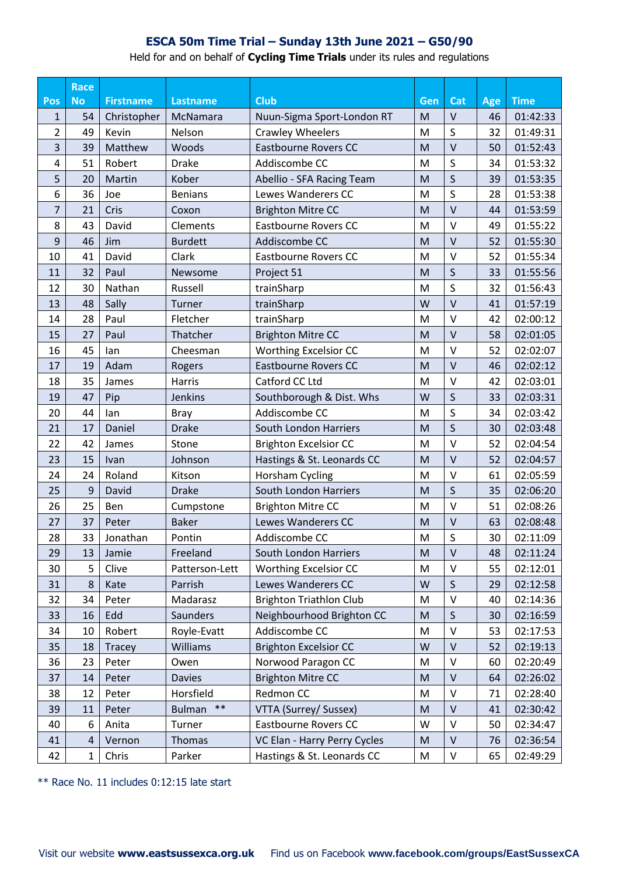### **ESCA 50m Time Trial – Sunday 13th June 2021 – G50/90**

Held for and on behalf of **Cycling Time Trials** under its rules and regulations

|                | <b>Race</b> |                  |                        |                                |     |              |            |             |
|----------------|-------------|------------------|------------------------|--------------------------------|-----|--------------|------------|-------------|
| Pos            | <b>No</b>   | <b>Firstname</b> | Lastname               | <b>Club</b>                    | Gen | Cat          | <b>Age</b> | <b>Time</b> |
| 1              | 54          | Christopher      | McNamara               | Nuun-Sigma Sport-London RT     | M   | $\vee$       | 46         | 01:42:33    |
| $\overline{2}$ | 49          | Kevin            | Nelson                 | <b>Crawley Wheelers</b>        | M   | S            | 32         | 01:49:31    |
| 3              | 39          | Matthew          | Woods                  | <b>Eastbourne Rovers CC</b>    | M   | $\vee$       | 50         | 01:52:43    |
| 4              | 51          | Robert           | <b>Drake</b>           | Addiscombe CC                  | M   | S            | 34         | 01:53:32    |
| 5              | 20          | Martin           | Kober                  | Abellio - SFA Racing Team      | M   | $\mathsf{S}$ | 39         | 01:53:35    |
| 6              | 36          | Joe              | <b>Benians</b>         | Lewes Wanderers CC             | M   | S            | 28         | 01:53:38    |
| 7              | 21          | Cris             | Coxon                  | <b>Brighton Mitre CC</b>       | M   | $\vee$       | 44         | 01:53:59    |
| 8              | 43          | David            | Clements               | <b>Eastbourne Rovers CC</b>    | M   | $\vee$       | 49         | 01:55:22    |
| 9              | 46          | Jim              | <b>Burdett</b>         | Addiscombe CC                  | M   | $\vee$       | 52         | 01:55:30    |
| 10             | 41          | David            | Clark                  | <b>Eastbourne Rovers CC</b>    | M   | $\vee$       | 52         | 01:55:34    |
| 11             | 32          | Paul             | Newsome                | Project 51                     | M   | S            | 33         | 01:55:56    |
| 12             | 30          | Nathan           | Russell                | trainSharp                     | M   | S            | 32         | 01:56:43    |
| 13             | 48          | Sally            | Turner                 | trainSharp                     | W   | $\vee$       | 41         | 01:57:19    |
| 14             | 28          | Paul             | Fletcher               | trainSharp                     | M   | $\vee$       | 42         | 02:00:12    |
| 15             | 27          | Paul             | Thatcher               | <b>Brighton Mitre CC</b>       | M   | $\vee$       | 58         | 02:01:05    |
| 16             | 45          | lan              | Cheesman               | <b>Worthing Excelsior CC</b>   | M   | $\vee$       | 52         | 02:02:07    |
| 17             | 19          | Adam             | Rogers                 | <b>Eastbourne Rovers CC</b>    | M   | $\vee$       | 46         | 02:02:12    |
| 18             | 35          | James            | Harris                 | Catford CC Ltd                 | M   | $\vee$       | 42         | 02:03:01    |
| 19             | 47          | Pip              | Jenkins                | Southborough & Dist. Whs       | W   | S            | 33         | 02:03:31    |
| 20             | 44          | lan              | <b>Bray</b>            | Addiscombe CC                  | M   | S            | 34         | 02:03:42    |
| 21             | 17          | Daniel           | <b>Drake</b>           | South London Harriers          | M   | $\mathsf{S}$ | 30         | 02:03:48    |
| 22             | 42          | James            | Stone                  | <b>Brighton Excelsior CC</b>   | M   | $\vee$       | 52         | 02:04:54    |
| 23             | 15          | Ivan             | Johnson                | Hastings & St. Leonards CC     | M   | $\vee$       | 52         | 02:04:57    |
| 24             | 24          | Roland           | Kitson                 | Horsham Cycling                | M   | $\vee$       | 61         | 02:05:59    |
| 25             | 9           | David            | <b>Drake</b>           | South London Harriers          | M   | S            | 35         | 02:06:20    |
| 26             | 25          | Ben              | Cumpstone              | <b>Brighton Mitre CC</b>       | M   | $\vee$       | 51         | 02:08:26    |
| 27             | 37          | Peter            | <b>Baker</b>           | Lewes Wanderers CC             | M   | $\vee$       | 63         | 02:08:48    |
| 28             | 33          | Jonathan         | Pontin                 | Addiscombe CC                  | M   | $\sf S$      | 30         | 02:11:09    |
| 29             | 13          | Jamie            | Freeland               | South London Harriers          | M   | $\vee$       | 48         | 02:11:24    |
| 30             | 5           | Clive            | Patterson-Lett         | Worthing Excelsior CC          | M   | $\vee$       | 55         | 02:12:01    |
| 31             | 8           | Kate             | Parrish                | Lewes Wanderers CC             | W   | $\mathsf S$  | 29         | 02:12:58    |
| 32             | 34          | Peter            | Madarasz               | <b>Brighton Triathlon Club</b> | M   | $\vee$       | 40         | 02:14:36    |
| 33             | 16          | Edd              | Saunders               | Neighbourhood Brighton CC      | M   | $\mathsf S$  | 30         | 02:16:59    |
| 34             | 10          | Robert           | Royle-Evatt            | Addiscombe CC                  | M   | $\mathsf{V}$ | 53         | 02:17:53    |
| 35             | 18          | Tracey           | Williams               | <b>Brighton Excelsior CC</b>   | W   | $\vee$       | 52         | 02:19:13    |
| 36             | 23          | Peter            | Owen                   | Norwood Paragon CC             | M   | $\vee$       | 60         | 02:20:49    |
| 37             | 14          | Peter            | <b>Davies</b>          | <b>Brighton Mitre CC</b>       | M   | $\mathsf{V}$ | 64         | 02:26:02    |
| 38             | 12          | Peter            | Horsfield              | Redmon CC                      | M   | $\mathsf{V}$ | 71         | 02:28:40    |
| 39             | 11          | Peter            | $***$<br><b>Bulman</b> | VTTA (Surrey/ Sussex)          | M   | $\mathsf{V}$ | 41         | 02:30:42    |
| 40             | 6           | Anita            | Turner                 | Eastbourne Rovers CC           | W   | $\vee$       | 50         | 02:34:47    |
| 41             | 4           | Vernon           | Thomas                 | VC Elan - Harry Perry Cycles   | M   | $\mathsf{V}$ | 76         | 02:36:54    |
| 42             | $\mathbf 1$ | Chris            | Parker                 | Hastings & St. Leonards CC     | M   | V            | 65         | 02:49:29    |

\*\* Race No. 11 includes 0:12:15 late start